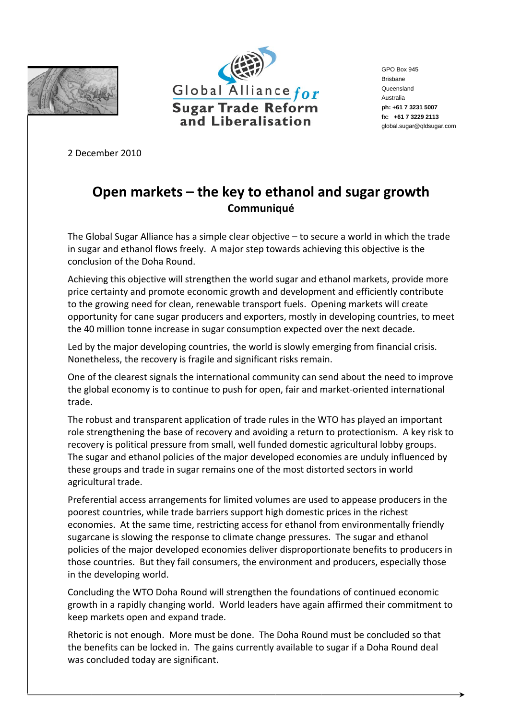



GPO Box 945 **Brisbane** Queensland Australia ph: +61 7 3231 5007 fx: +61 7 3229 2113 global.sugar@qldsugar.com

2 December 2010

## Open markets  $-$  the key to ethanol and sugar growth Communiqué

The Global Sugar Alliance has a simple clear objective  $-$  to secure a world in which the trade in sugar and ethanol flows freely. A major step towards achieving this objective is the conclusion of the Doha Round.

Achieving this objective will strengthen the world sugar and ethanol markets, provide more price certainty and promote economic growth and development and efficiently contribute to the growing need for clean, renewable transport fuels. Opening markets will create opportunity for cane sugar producers and exporters, mostly in developing countries, to meet the 40 million tonne increase in sugar consumption expected over the next decade.

Led by the major developing countries, the world is slowly emerging from financial crisis. Nonetheless, the recovery is fragile and significant risks remain.

One of the clearest signals the international community can send about the need to improve the global economy is to continue to push for open, fair and market-oriented international trade.

The robust and transparent application of trade rules in the WTO has played an important role strengthening the base of recovery and avoiding a return to protectionism. A key risk to recovery is political pressure from small, well funded domestic agricultural lobby groups. The sugar and ethanol policies of the major developed economies are unduly influenced by these groups and trade in sugar remains one of the most distorted sectors in world agricultural trade.

Preferential access arrangements for limited volumes are used to appease producers in the poorest countries, while trade barriers support high domestic prices in the richest economies. At the same time, restricting access for ethanol from environmentally friendly sugarcane is slowing the response to climate change pressures. The sugar and ethanol policies of the major developed economies deliver disproportionate benefits to producers in those countries. But they fail consumers, the environment and producers, especially those in the developing world.

Concluding the WTO Doha Round will strengthen the foundations of continued economic growth in a rapidly changing world. World leaders have again affirmed their commitment to keep markets open and expand trade.

Rhetoric is not enough. More must be done. The Doha Round must be concluded so that the benefits can be locked in. The gains currently available to sugar if a Doha Round deal was concluded today are significant.